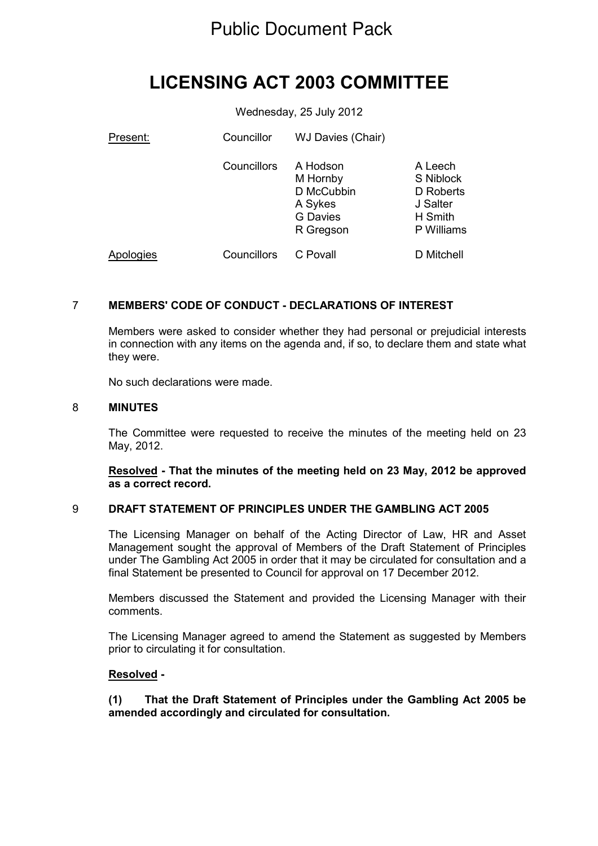# Public Document Pack

# **LICENSING ACT 2003 COMMITTEE**

Wednesday, 25 July 2012

| Present:  | Councillor  | WJ Davies (Chair)                                                             |                                                                        |
|-----------|-------------|-------------------------------------------------------------------------------|------------------------------------------------------------------------|
|           | Councillors | A Hodson<br>M Hornby<br>D McCubbin<br>A Sykes<br><b>G</b> Davies<br>R Gregson | A Leech<br>S Niblock<br>D Roberts<br>J Salter<br>H Smith<br>P Williams |
| Apologies | Councillors | C Povall                                                                      | D Mitchell                                                             |

# 7 **MEMBERS' CODE OF CONDUCT - DECLARATIONS OF INTEREST**

Members were asked to consider whether they had personal or prejudicial interests in connection with any items on the agenda and, if so, to declare them and state what they were.

No such declarations were made.

#### 8 **MINUTES**

The Committee were requested to receive the minutes of the meeting held on 23 May, 2012.

**Resolved - That the minutes of the meeting held on 23 May, 2012 be approved as a correct record.**

# 9 **DRAFT STATEMENT OF PRINCIPLES UNDER THE GAMBLING ACT 2005**

The Licensing Manager on behalf of the Acting Director of Law, HR and Asset Management sought the approval of Members of the Draft Statement of Principles under The Gambling Act 2005 in order that it may be circulated for consultation and a final Statement be presented to Council for approval on 17 December 2012.

Members discussed the Statement and provided the Licensing Manager with their comments.

The Licensing Manager agreed to amend the Statement as suggested by Members prior to circulating it for consultation.

#### **Resolved -**

# **(1) That the Draft Statement of Principles under the Gambling Act 2005 be amended accordingly and circulated for consultation.**